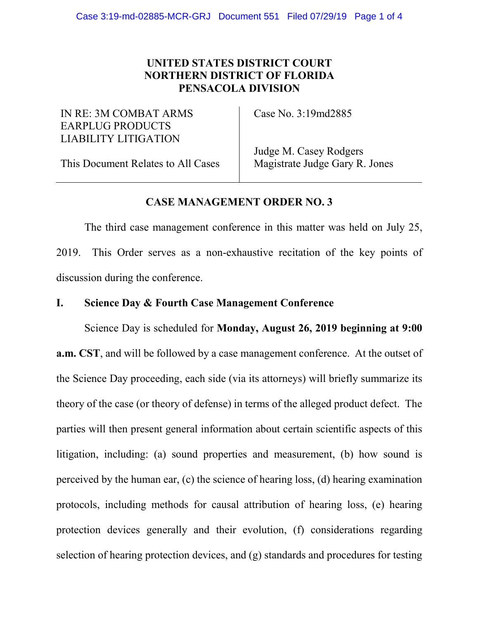# **UNITED STATES DISTRICT COURT NORTHERN DISTRICT OF FLORIDA PENSACOLA DIVISION**

## IN RE: 3M COMBAT ARMS EARPLUG PRODUCTS LIABILITY LITIGATION

Case No. 3:19md2885

This Document Relates to All Cases

Judge M. Casey Rodgers Magistrate Judge Gary R. Jones

# **CASE MANAGEMENT ORDER NO. 3**

The third case management conference in this matter was held on July 25, 2019. This Order serves as a non-exhaustive recitation of the key points of discussion during the conference.

# **I. Science Day & Fourth Case Management Conference**

Science Day is scheduled for **Monday, August 26, 2019 beginning at 9:00 a.m. CST**, and will be followed by a case management conference. At the outset of the Science Day proceeding, each side (via its attorneys) will briefly summarize its theory of the case (or theory of defense) in terms of the alleged product defect. The parties will then present general information about certain scientific aspects of this litigation, including: (a) sound properties and measurement, (b) how sound is perceived by the human ear, (c) the science of hearing loss, (d) hearing examination protocols, including methods for causal attribution of hearing loss, (e) hearing protection devices generally and their evolution, (f) considerations regarding selection of hearing protection devices, and (g) standards and procedures for testing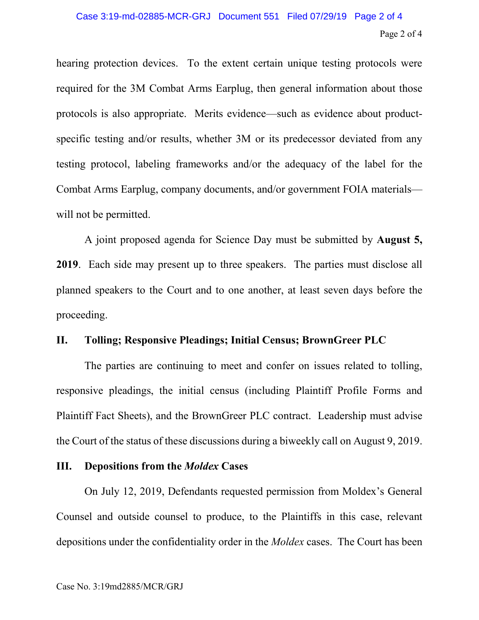hearing protection devices. To the extent certain unique testing protocols were required for the 3M Combat Arms Earplug, then general information about those protocols is also appropriate. Merits evidence—such as evidence about productspecific testing and/or results, whether 3M or its predecessor deviated from any testing protocol, labeling frameworks and/or the adequacy of the label for the Combat Arms Earplug, company documents, and/or government FOIA materials will not be permitted.

A joint proposed agenda for Science Day must be submitted by **August 5, 2019**. Each side may present up to three speakers. The parties must disclose all planned speakers to the Court and to one another, at least seven days before the proceeding.

### **II. Tolling; Responsive Pleadings; Initial Census; BrownGreer PLC**

The parties are continuing to meet and confer on issues related to tolling, responsive pleadings, the initial census (including Plaintiff Profile Forms and Plaintiff Fact Sheets), and the BrownGreer PLC contract. Leadership must advise the Court of the status of these discussions during a biweekly call on August 9, 2019.

### **III. Depositions from the** *Moldex* **Cases**

On July 12, 2019, Defendants requested permission from Moldex's General Counsel and outside counsel to produce, to the Plaintiffs in this case, relevant depositions under the confidentiality order in the *Moldex* cases. The Court has been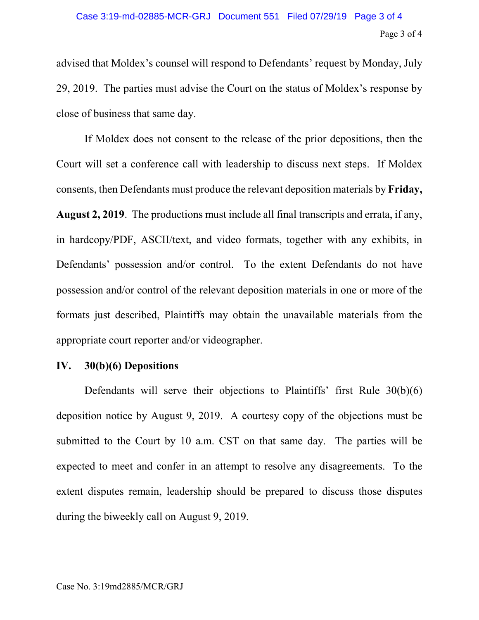advised that Moldex's counsel will respond to Defendants' request by Monday, July 29, 2019. The parties must advise the Court on the status of Moldex's response by close of business that same day.

If Moldex does not consent to the release of the prior depositions, then the Court will set a conference call with leadership to discuss next steps. If Moldex consents, then Defendants must produce the relevant deposition materials by **Friday, August 2, 2019**. The productions must include all final transcripts and errata, if any, in hardcopy/PDF, ASCII/text, and video formats, together with any exhibits, in Defendants' possession and/or control. To the extent Defendants do not have possession and/or control of the relevant deposition materials in one or more of the formats just described, Plaintiffs may obtain the unavailable materials from the appropriate court reporter and/or videographer.

## **IV. 30(b)(6) Depositions**

Defendants will serve their objections to Plaintiffs' first Rule 30(b)(6) deposition notice by August 9, 2019. A courtesy copy of the objections must be submitted to the Court by 10 a.m. CST on that same day. The parties will be expected to meet and confer in an attempt to resolve any disagreements. To the extent disputes remain, leadership should be prepared to discuss those disputes during the biweekly call on August 9, 2019.